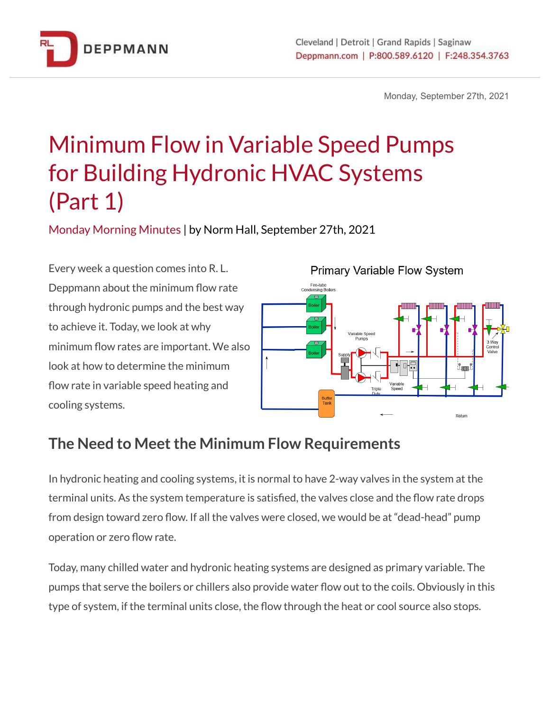

Monday, September 27th, 2021

# Minimum Flow in Variable Speed Pumps for Building Hydronic HVAC Systems (Part 1)

Monday Morning Minutes | by Norm Hall, September 27th, 2021

Every week a question comes into R. L. Deppmann about the minimum flow rate through hydronic pumps and the best way to achieve it. Today, we look at why minimum flow rates are important. We also look at how to determine the minimum flow rate in variable speed heating and cooling systems.



## **The Need to Meet the Minimum Flow Requirements**

In hydronic heating and cooling systems, it is normal to have 2-way valves in the system at the terminal units. As the system temperature is satisfied, the valves close and the flow rate drops from design toward zero flow. If all the valves were closed, we would be at "dead-head" pump operation or zero flow rate.

Today, many chilled water and hydronic heating systems are designed as primary variable. The pumps that serve the boilers or chillers also provide water flow out to the coils. Obviously in this type of system, if the terminal units close, the flow through the heat or cool source also stops.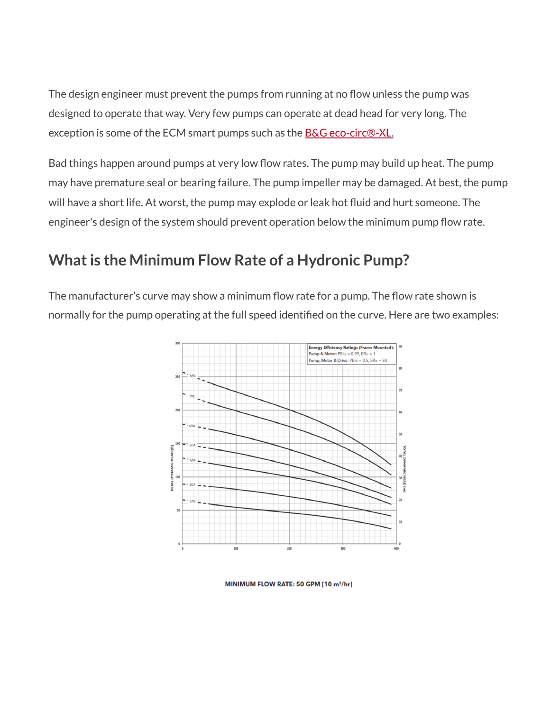The design engineer must prevent the pumps from running at no flow unless the pump was designed to operate that way. Very few pumps can operate at dead head for very long. The exception is some of the ECM smart pumps such as the **B&G eco-circ®-XL**.

Bad things happen around pumps at very low flow rates. The pump may build up heat. The pump may have premature seal or bearing failure. The pump impeller may be damaged. At best, the pump will have a short life. At worst, the pump may explode or leak hot fluid and hurt someone. The engineer's design of the system should prevent operation below the minimum pump flow rate.

### **What is the Minimum Flow Rate of a Hydronic Pump?**

The manufacturer's curve may show a minimum flow rate for a pump. The flow rate shown is normally for the pump operating at the full speed identified on the curve. Here are two examples:



MINIMUM FLOW RATE: 50 GPM [10 m<sup>3</sup>/hr]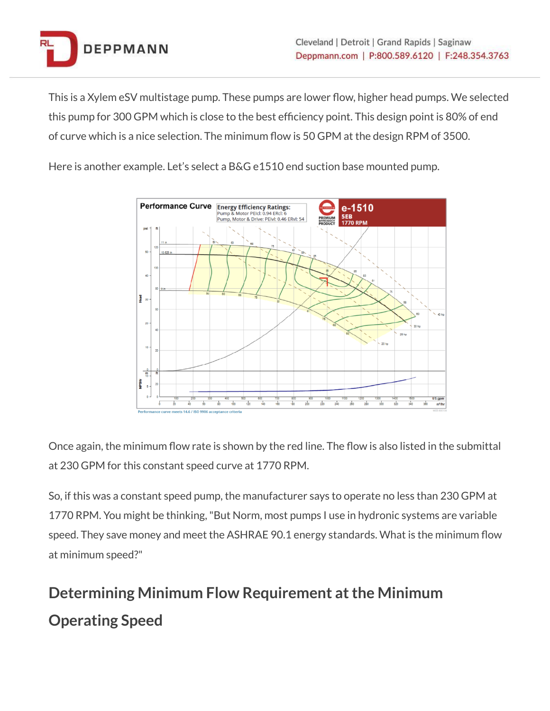

This is a Xylem eSV multistage pump. These pumps are lower flow, higher head pumps. We selected this pump for 300 GPM which is close to the best efficiency point. This design point is 80% of end of curve which is a nice selection. The minimum flow is 50 GPM at the design RPM of 3500.

Here is another example. Let's select a B&G e1510 end suction base mounted pump.



Once again, the minimum flow rate is shown by the red line. The flow is also listed in the submittal at 230 GPM for this constant speed curve at 1770 RPM.

So, if this was a constant speed pump, the manufacturer says to operate no less than 230 GPM at 1770 RPM. You might be thinking,"But Norm, most pumps I use in hydronic systems are variable speed. They save money and meet the ASHRAE 90.1 energy standards. What is the minimum flow at minimum speed?"

## **Determining Minimum Flow Requirement at the Minimum Operating Speed**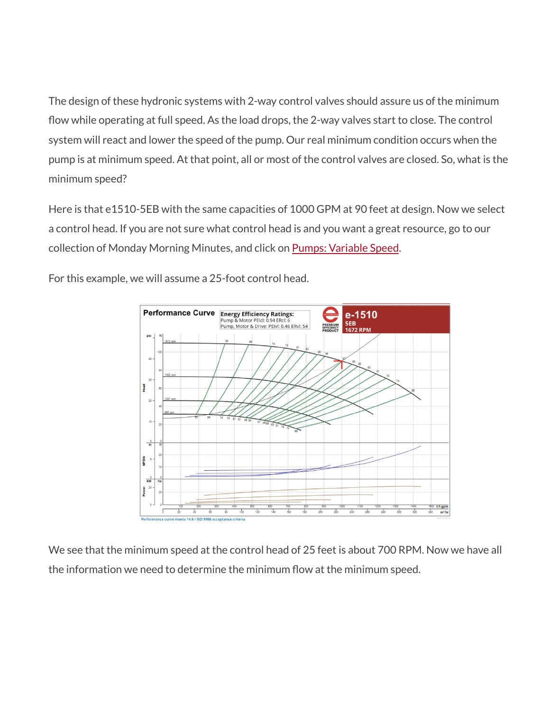The design of these hydronic systems with 2-way control valves should assure us of the minimum flow while operating at full speed. As the load drops, the 2-way valves start to close. The control system will react and lower the speed of the pump. Our real minimum condition occurs when the pump is at minimum speed. At that point, all or most of the control valves are closed. So, what is the minimum speed?

Here is that e1510-5EB with the same capacities of 1000 GPM at 90 feet at design. Now we select a control head. If you are not sure what control head is and you want a great resource, go to our collection of Monday Morning Minutes, and click on Pumps: [Variable](https://www.deppmann.com/blog/category/pumps/variable-speed/) Speed.

For this example, we will assume a 25-foot control head.



We see that the minimum speed at the control head of 25 feet is about 700 RPM. Now we have all the information we need to determine the minimum flow at the minimum speed.